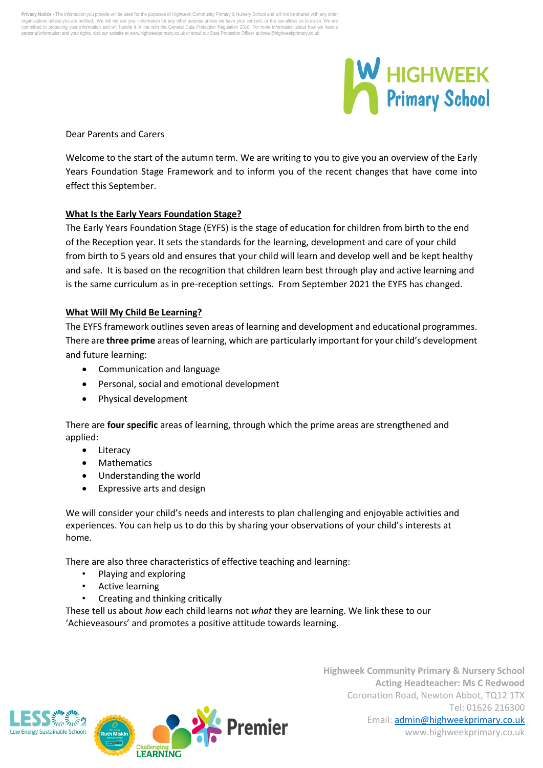Privacy Notice - The information you provide will be used for the purposes of Highweek Community Primary & Nursery School and will not be shared with any other<br>organisations unless you are notified. We will not use your in ation and your rights, visit our website at www.highweekprimary.co.uk or email our Data Protection Officer at tlowe@highweekprimary.co.ul



Dear Parents and Carers

Welcome to the start of the autumn term. We are writing to you to give you an overview of the Early Years Foundation Stage Framework and to inform you of the recent changes that have come into effect this September.

# **What Is the Early Years Foundation Stage?**

The Early Years Foundation Stage (EYFS) is the stage of education for children from birth to the end of the Reception year. It sets the standards for the learning, development and care of your child from birth to 5 years old and ensures that your child will learn and develop well and be kept healthy and safe. It is based on the recognition that children learn best through play and active learning and is the same curriculum as in pre-reception settings. From September 2021 the EYFS has changed.

# **What Will My Child Be Learning?**

The EYFS framework outlines seven areas of learning and development and educational programmes. There are **three prime** areas of learning, which are particularly important for your child's development and future learning:

- Communication and language
- Personal, social and emotional development
- Physical development

There are **four specific** areas of learning, through which the prime areas are strengthened and applied:

- **Literacy**
- Mathematics
- Understanding the world
- Expressive arts and design

We will consider your child's needs and interests to plan challenging and enjoyable activities and experiences. You can help us to do this by sharing your observations of your child's interests at home.

There are also three characteristics of effective teaching and learning:

- Playing and exploring
- Active learning
- Creating and thinking critically

These tell us about *how* each child learns not *what* they are learning. We link these to our 'Achieveasours' and promotes a positive attitude towards learning.



**Highweek Community Primary & Nursery School Acting Headteacher: Ms C Redwood** Coronation Road, Newton Abbot, TQ12 1TX Tel: 01626 216300 Email[: admin@highweekprimary.co.uk](mailto:admin@highweekprimary.co.uk) www.highweekprimary.co.uk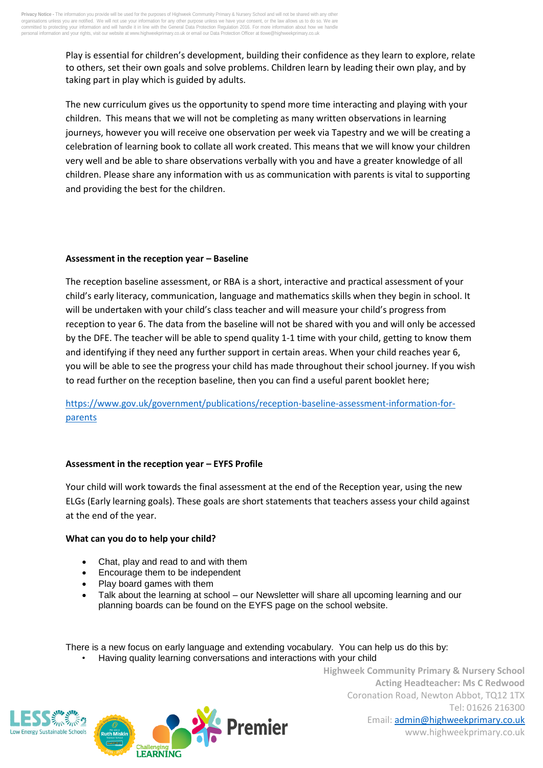Play is essential for children's development, building their confidence as they learn to explore, relate to others, set their own goals and solve problems. Children learn by leading their own play, and by taking part in play which is guided by adults.

The new curriculum gives us the opportunity to spend more time interacting and playing with your children. This means that we will not be completing as many written observations in learning journeys, however you will receive one observation per week via Tapestry and we will be creating a celebration of learning book to collate all work created. This means that we will know your children very well and be able to share observations verbally with you and have a greater knowledge of all children. Please share any information with us as communication with parents is vital to supporting and providing the best for the children.

# **Assessment in the reception year – Baseline**

The reception baseline assessment, or RBA is a short, interactive and practical assessment of your child's early literacy, communication, language and mathematics skills when they begin in school. It will be undertaken with your child's class teacher and will measure your child's progress from reception to year 6. The data from the baseline will not be shared with you and will only be accessed by the DFE. The teacher will be able to spend quality 1-1 time with your child, getting to know them and identifying if they need any further support in certain areas. When your child reaches year 6, you will be able to see the progress your child has made throughout their school journey. If you wish to read further on the reception baseline, then you can find a useful parent booklet here;

[https://www.gov.uk/government/publications/reception-baseline-assessment-information-for](https://www.gov.uk/government/publications/reception-baseline-assessment-information-for-parents)[parents](https://www.gov.uk/government/publications/reception-baseline-assessment-information-for-parents)

# **Assessment in the reception year – EYFS Profile**

Your child will work towards the final assessment at the end of the Reception year, using the new ELGs (Early learning goals). These goals are short statements that teachers assess your child against at the end of the year.

# **What can you do to help your child?**

- Chat, play and read to and with them
- Encourage them to be independent

**I FARNING** 

- Play board games with them
- Talk about the learning at school our Newsletter will share all upcoming learning and our planning boards can be found on the EYFS page on the school website.

There is a new focus on early language and extending vocabulary. You can help us do this by:

Premier

• Having quality learning conversations and interactions with your child



**Highweek Community Primary & Nursery School Acting Headteacher: Ms C Redwood** Coronation Road, Newton Abbot, TQ12 1TX Tel: 01626 216300 Email[: admin@highweekprimary.co.uk](mailto:admin@highweekprimary.co.uk) www.highweekprimary.co.uk